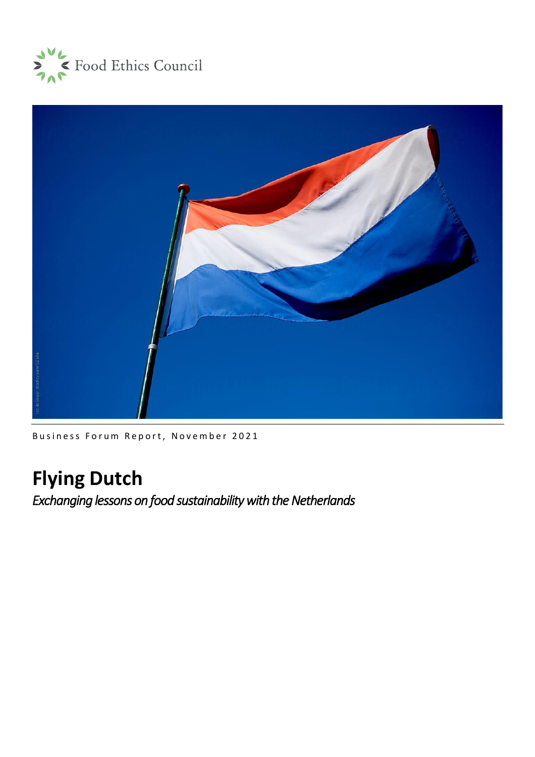



Business Forum Report, November 2021

# **Flying Dutch**

*Exchanging lessons on food sustainability with the Netherlands*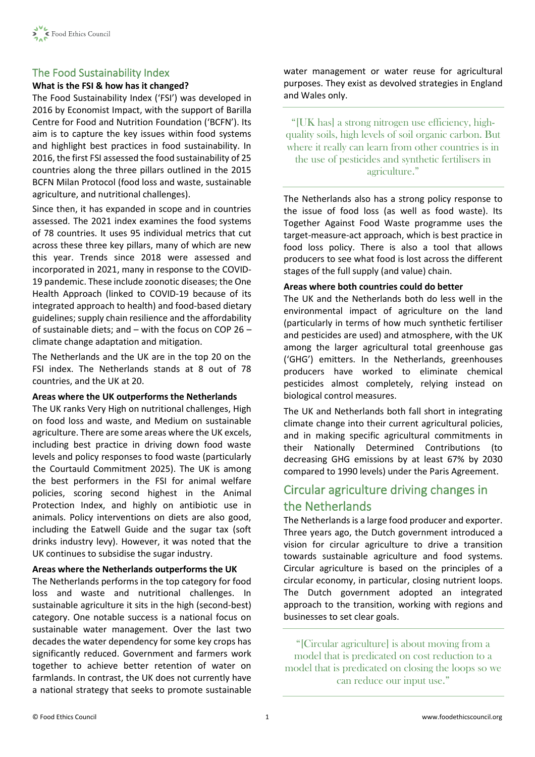

# The Food Sustainability Index

### **What is the FSI & how has it changed?**

The Food Sustainability Index ('FSI') was developed in 2016 by Economist Impact, with the support of Barilla Centre for Food and Nutrition Foundation ('BCFN'). Its aim is to capture the key issues within food systems and highlight best practices in food sustainability. In 2016, the first FSI assessed the food sustainability of 25 countries along the three pillars outlined in the 2015 BCFN Milan Protocol (food loss and waste, sustainable agriculture, and nutritional challenges).

Since then, it has expanded in scope and in countries assessed. The 2021 index examines the food systems of 78 countries. It uses 95 individual metrics that cut across these three key pillars, many of which are new this year. Trends since 2018 were assessed and incorporated in 2021, many in response to the COVID-19 pandemic. These include zoonotic diseases; the One Health Approach (linked to COVID-19 because of its integrated approach to health) and food-based dietary guidelines; supply chain resilience and the affordability of sustainable diets; and – with the focus on COP 26 – climate change adaptation and mitigation.

The Netherlands and the UK are in the top 20 on the FSI index. The Netherlands stands at 8 out of 78 countries, and the UK at 20.

### **Areas where the UK outperforms the Netherlands**

The UK ranks Very High on nutritional challenges, High on food loss and waste, and Medium on sustainable agriculture. There are some areas where the UK excels, including best practice in driving down food waste levels and policy responses to food waste (particularly the Courtauld Commitment 2025). The UK is among the best performers in the FSI for animal welfare policies, scoring second highest in the Animal Protection Index, and highly on antibiotic use in animals. Policy interventions on diets are also good, including the Eatwell Guide and the sugar tax (soft drinks industry levy). However, it was noted that the UK continues to subsidise the sugar industry.

### **Areas where the Netherlands outperforms the UK**

The Netherlands performs in the top category for food loss and waste and nutritional challenges. In sustainable agriculture it sits in the high (second-best) category. One notable success is a national focus on sustainable water management. Over the last two decades the water dependency for some key crops has significantly reduced. Government and farmers work together to achieve better retention of water on farmlands. In contrast, the UK does not currently have a national strategy that seeks to promote sustainable water management or water reuse for agricultural purposes. They exist as devolved strategies in England and Wales only.

"[UK has] a strong nitrogen use efficiency, highquality soils, high levels of soil organic carbon. But where it really can learn from other countries is in the use of pesticides and synthetic fertilisers in agriculture."

The Netherlands also has a strong policy response to the issue of food loss (as well as food waste). Its Together Against Food Waste programme uses the target-measure-act approach, which is best practice in food loss policy. There is also a tool that allows producers to see what food is lost across the different stages of the full supply (and value) chain.

### **Areas where both countries could do better**

The UK and the Netherlands both do less well in the environmental impact of agriculture on the land (particularly in terms of how much synthetic fertiliser and pesticides are used) and atmosphere, with the UK among the larger agricultural total greenhouse gas ('GHG') emitters. In the Netherlands, greenhouses producers have worked to eliminate chemical pesticides almost completely, relying instead on biological control measures.

The UK and Netherlands both fall short in integrating climate change into their current agricultural policies, and in making specific agricultural commitments in their Nationally Determined Contributions (to decreasing GHG emissions by at least 67% by 2030 compared to 1990 levels) under the Paris Agreement.

# Circular agriculture driving changes in the Netherlands

The Netherlands is a large food producer and exporter. Three years ago, the Dutch government introduced a vision for circular agriculture to drive a transition towards sustainable agriculture and food systems. Circular agriculture is based on the principles of a circular economy, in particular, closing nutrient loops. The Dutch government adopted an integrated approach to the transition, working with regions and businesses to set clear goals.

"[Circular agriculture] is about moving from a model that is predicated on cost reduction to a model that is predicated on closing the loops so we can reduce our input use."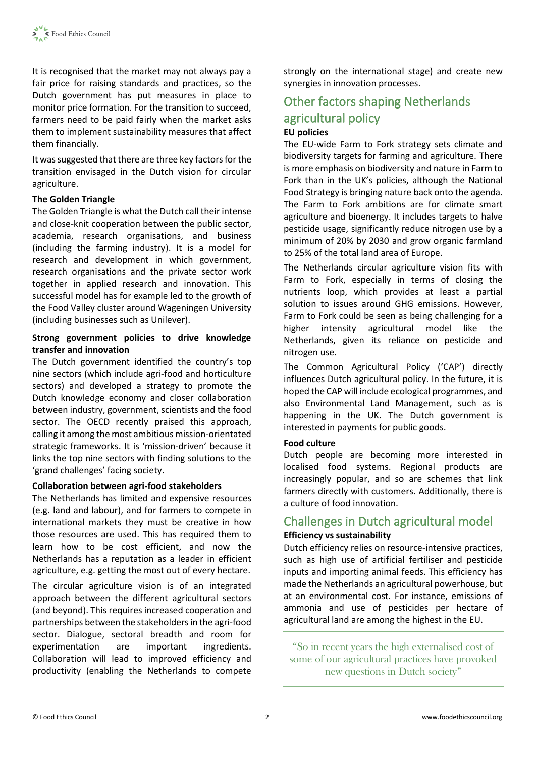It is recognised that the market may not always pay a fair price for raising standards and practices, so the Dutch government has put measures in place to monitor price formation. For the transition to succeed, farmers need to be paid fairly when the market asks them to implement sustainability measures that affect them financially.

It was suggested that there are three key factors for the transition envisaged in the Dutch vision for circular agriculture.

### **The Golden Triangle**

The Golden Triangle is what the Dutch call their intense and close-knit cooperation between the public sector, academia, research organisations, and business (including the farming industry). It is a model for research and development in which government, research organisations and the private sector work together in applied research and innovation. This successful model has for example led to the growth of the Food Valley cluster around Wageningen University (including businesses such as Unilever).

### **Strong government policies to drive knowledge transfer and innovation**

The Dutch government identified the country's top nine sectors (which include agri-food and horticulture sectors) and developed a strategy to promote the Dutch knowledge economy and closer collaboration between industry, government, scientists and the food sector. The OECD recently praised this approach, calling it among the most ambitious mission-orientated strategic frameworks. It is 'mission-driven' because it links the top nine sectors with finding solutions to the 'grand challenges' facing society.

### **Collaboration between agri-food stakeholders**

The Netherlands has limited and expensive resources (e.g. land and labour), and for farmers to compete in international markets they must be creative in how those resources are used. This has required them to learn how to be cost efficient, and now the Netherlands has a reputation as a leader in efficient agriculture, e.g. getting the most out of every hectare.

The circular agriculture vision is of an integrated approach between the different agricultural sectors (and beyond). This requires increased cooperation and partnerships between the stakeholders in the agri-food sector. Dialogue, sectoral breadth and room for experimentation are important ingredients. Collaboration will lead to improved efficiency and productivity (enabling the Netherlands to compete strongly on the international stage) and create new synergies in innovation processes.

# Other factors shaping Netherlands agricultural policy **EU policies**

The EU-wide Farm to Fork strategy sets climate and biodiversity targets for farming and agriculture. There is more emphasis on biodiversity and nature in Farm to Fork than in the UK's policies, although the National Food Strategy is bringing nature back onto the agenda. The Farm to Fork ambitions are for climate smart agriculture and bioenergy. It includes targets to halve pesticide usage, significantly reduce nitrogen use by a minimum of 20% by 2030 and grow organic farmland to 25% of the total land area of Europe.

The Netherlands circular agriculture vision fits with Farm to Fork, especially in terms of closing the nutrients loop, which provides at least a partial solution to issues around GHG emissions. However, Farm to Fork could be seen as being challenging for a higher intensity agricultural model like the Netherlands, given its reliance on pesticide and nitrogen use.

The Common Agricultural Policy ('CAP') directly influences Dutch agricultural policy. In the future, it is hoped the CAP will include ecological programmes, and also Environmental Land Management, such as is happening in the UK. The Dutch government is interested in payments for public goods.

### **Food culture**

Dutch people are becoming more interested in localised food systems. Regional products are increasingly popular, and so are schemes that link farmers directly with customers. Additionally, there is a culture of food innovation.

# Challenges in Dutch agricultural model

### **Efficiency vs sustainability**

Dutch efficiency relies on resource-intensive practices, such as high use of artificial fertiliser and pesticide inputs and importing animal feeds. This efficiency has made the Netherlands an agricultural powerhouse, but at an environmental cost. For instance, emissions of ammonia and use of pesticides per hectare of agricultural land are among the highest in the EU.

"So in recent years the high externalised cost of some of our agricultural practices have provoked new questions in Dutch society"